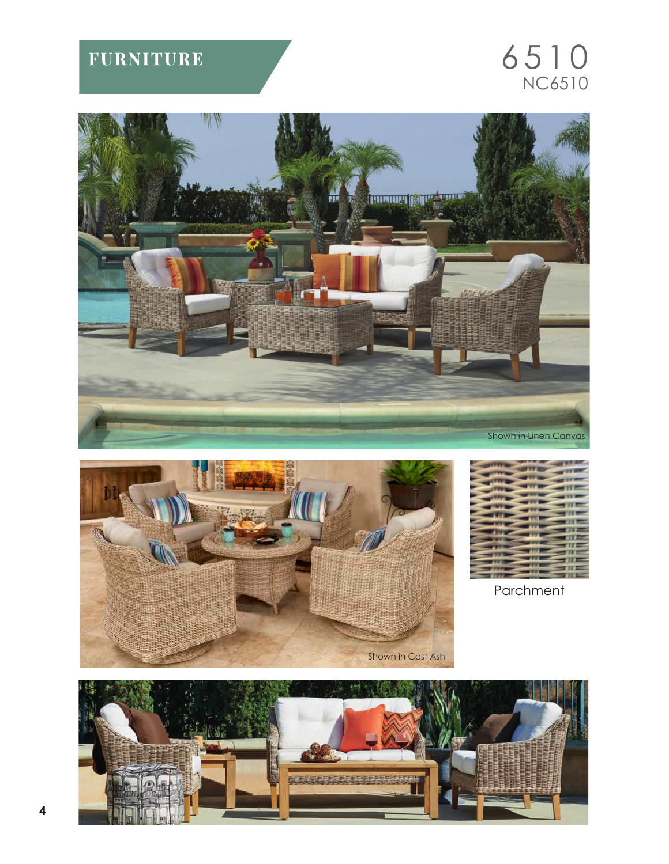## **FURNITURE**

## $6510$ <br>NC6510







Parchment